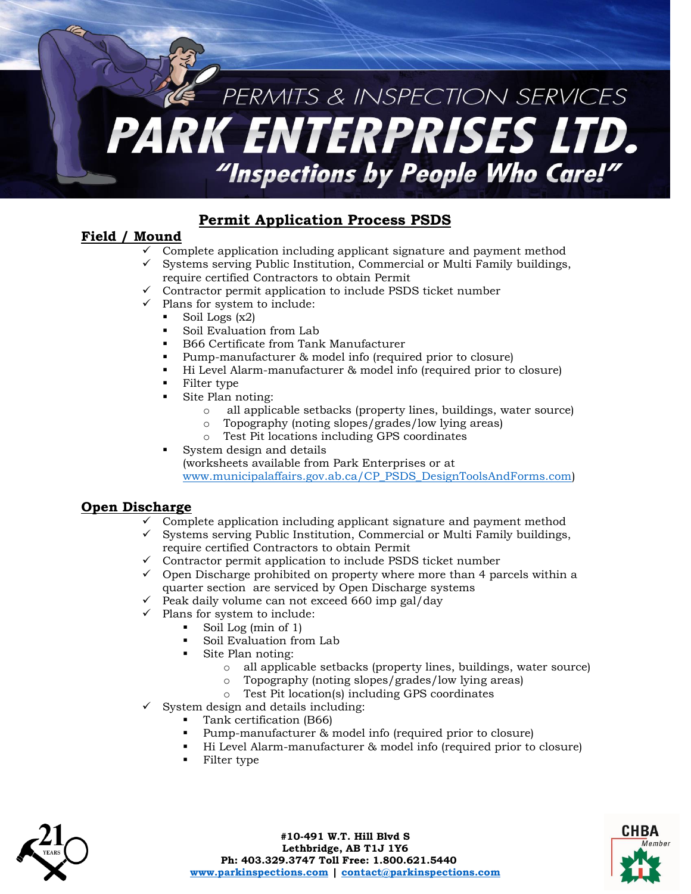## PERMITS & INSPECTION SERVICES PARK ENTERPRISES LTD. "Inspections by People Who Care!"

### **Permit Application Process PSDS**

#### **Field / Mound**

- Complete application including applicant signature and payment method
- $\checkmark$  Systems serving Public Institution, Commercial or Multi Family buildings, require certified Contractors to obtain Permit
- $\checkmark$  Contractor permit application to include PSDS ticket number
- $\checkmark$  Plans for system to include:
	- Soil Logs  $(x2)$
	- Soil Evaluation from Lab
	- B66 Certificate from Tank Manufacturer
	- Pump-manufacturer & model info (required prior to closure)
	- Hi Level Alarm-manufacturer & model info (required prior to closure)
	- Filter type
	- Site Plan noting:
		- o all applicable setbacks (property lines, buildings, water source)
		- o Topography (noting slopes/grades/low lying areas)
		- o Test Pit locations including GPS coordinates
	- System design and details (worksheets available from Park Enterprises or at [www.municipalaffairs.gov.ab.ca/CP\\_PSDS\\_DesignToolsAndForms.com\)](http://www.municipalaffairs.gov.ab.ca/CP_PSDS_DesignToolsAndForms.com)

#### **Open Discharge**

- $\checkmark$  Complete application including applicant signature and payment method
- $\checkmark$  Systems serving Public Institution, Commercial or Multi Family buildings, require certified Contractors to obtain Permit
- require certified Contractors to obtain Permit<br>Contractor permit application to include PSDS ticket number
- $\checkmark$  Open Discharge prohibited on property where more than 4 parcels within a quarter section are serviced by Open Discharge systems
- $\checkmark$  Peak daily volume can not exceed 660 imp gal/day
- $\checkmark$  Plans for system to include:
	- Soil Log (min of 1)
	- Soil Evaluation from Lab
	- Site Plan noting:
		- o all applicable setbacks (property lines, buildings, water source)
		- o Topography (noting slopes/grades/low lying areas)
		- o Test Pit location(s) including GPS coordinates
- $\checkmark$  System design and details including:
	- Tank certification (B66)
	- Pump-manufacturer & model info (required prior to closure)
	- Hi Level Alarm-manufacturer & model info (required prior to closure)
	- Filter type